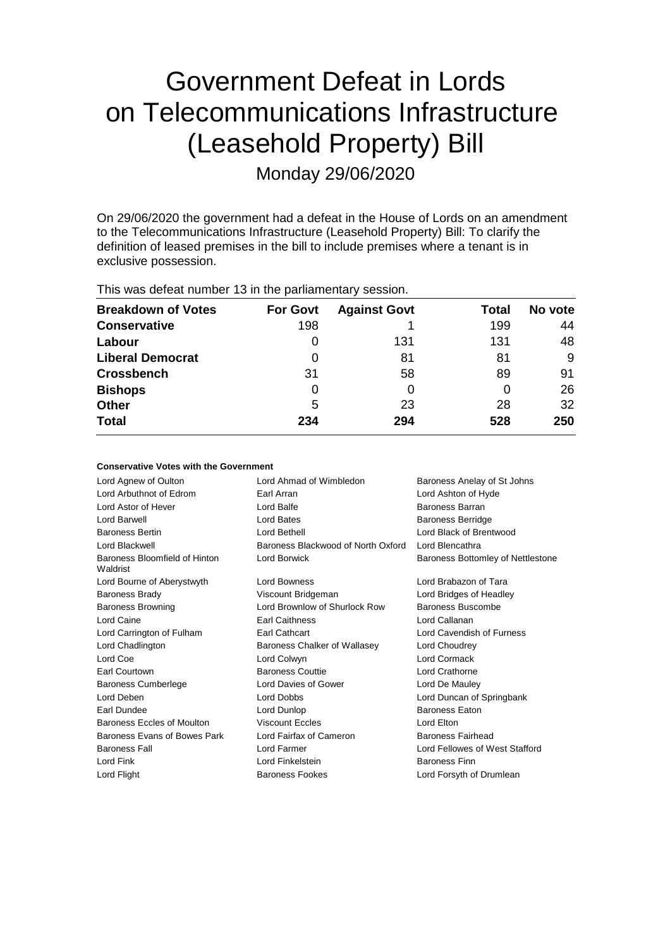# Government Defeat in Lords on Telecommunications Infrastructure (Leasehold Property) Bill

Monday 29/06/2020

On 29/06/2020 the government had a defeat in the House of Lords on an amendment to the Telecommunications Infrastructure (Leasehold Property) Bill: To clarify the definition of leased premises in the bill to include premises where a tenant is in exclusive possession.

| $D_{\text{max}}$                                        |  | $\Gamma_{\rm{eff}}$ $\Omega_{\rm{eff}}$ $\Lambda_{\rm{eff}}$ $\Omega_{\rm{eff}}$ |  |  |  |  |
|---------------------------------------------------------|--|----------------------------------------------------------------------------------|--|--|--|--|
| This was defeat number 13 in the parliamentary session. |  |                                                                                  |  |  |  |  |

| <b>Breakdown of Votes</b> | <b>For Govt</b> | <b>Against Govt</b> | Total | No vote |
|---------------------------|-----------------|---------------------|-------|---------|
| <b>Conservative</b>       | 198             |                     | 199   | 44      |
| Labour                    | O               | 131                 | 131   | 48      |
| <b>Liberal Democrat</b>   | 0               | 81                  | 81    | 9       |
| <b>Crossbench</b>         | 31              | 58                  | 89    | 91      |
| <b>Bishops</b>            | 0               | O                   |       | 26      |
| <b>Other</b>              | 5               | 23                  | 28    | 32      |
| <b>Total</b>              | 234             | 294                 | 528   | 250     |

#### **Conservative Votes with the Government**

| Lord Agnew of Oulton                      | Lord Ahmad of Wimbledon            | Baroness Anelay of St Johns       |
|-------------------------------------------|------------------------------------|-----------------------------------|
| Lord Arbuthnot of Edrom                   | Earl Arran                         | Lord Ashton of Hyde               |
| Lord Astor of Hever                       | Lord Balfe                         | Baroness Barran                   |
| Lord Barwell                              | Lord Bates                         | Baroness Berridge                 |
| <b>Baroness Bertin</b>                    | Lord Bethell                       | Lord Black of Brentwood           |
| Lord Blackwell                            | Baroness Blackwood of North Oxford | Lord Blencathra                   |
| Baroness Bloomfield of Hinton<br>Waldrist | Lord Borwick                       | Baroness Bottomley of Nettlestone |
| Lord Bourne of Aberystwyth                | Lord Bowness                       | Lord Brabazon of Tara             |
| <b>Baroness Brady</b>                     | Viscount Bridgeman                 | Lord Bridges of Headley           |
| <b>Baroness Browning</b>                  | Lord Brownlow of Shurlock Row      | Baroness Buscombe                 |
| Lord Caine                                | <b>Earl Caithness</b>              | Lord Callanan                     |
| Lord Carrington of Fulham                 | <b>Earl Cathcart</b>               | Lord Cavendish of Furness         |
| Lord Chadlington                          | Baroness Chalker of Wallasey       | Lord Choudrey                     |
| Lord Coe                                  | Lord Colwyn                        | Lord Cormack                      |
| Earl Courtown                             | <b>Baroness Couttie</b>            | Lord Crathorne                    |
| Baroness Cumberlege                       | Lord Davies of Gower               | Lord De Mauley                    |
| Lord Deben                                | Lord Dobbs                         | Lord Duncan of Springbank         |
| Earl Dundee                               | Lord Dunlop                        | <b>Baroness Eaton</b>             |
| Baroness Eccles of Moulton                | <b>Viscount Eccles</b>             | Lord Elton                        |
| Baroness Evans of Bowes Park              | Lord Fairfax of Cameron            | Baroness Fairhead                 |
| <b>Baroness Fall</b>                      | Lord Farmer                        | Lord Fellowes of West Stafford    |
| Lord Fink                                 | Lord Finkelstein                   | <b>Baroness Finn</b>              |
| Lord Flight                               | <b>Baroness Fookes</b>             | Lord Forsyth of Drumlean          |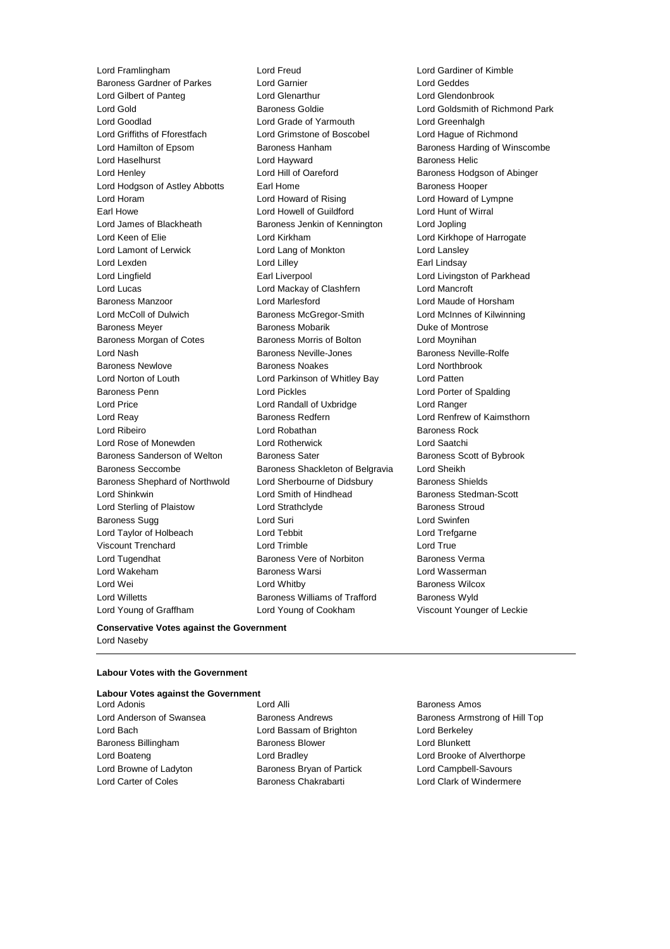Lord Young of Graffham Lord Young of Cookham Viscount Younger of Leckie

Lord Framlingham Lord Freud Lord Gardiner of Kimble Baroness Gardner of Parkes Lord Garnier Lord Geddes Lord Gilbert of Panteg Lord Glenarthur Lord Glendonbrook Lord Gold Baroness Goldie Lord Goldsmith of Richmond Park Lord Goodlad **Lord Grade of Yarmouth** Lord Greenhalgh<br>
Lord Griffiths of Fforestfach **Lord Grimstone of Boscobel** Lord Haque of Ri Lord Grimstone of Boscobel Lord Hague of Richmond Lord Hamilton of Epsom **Baroness Hanham** Baroness Handing of Winscombe Lord Haselhurst **Lord Hayward** Baroness Helic Lord Henley **Lord Hill of Oareford** Baroness Hodgson of Abinger Lord Hodgson of Astley Abbotts Earl Home **Baroness Hooper** Baroness Hooper Lord Horam Lord Howard of Rising Lord Howard of Lympne Earl Howe Lord Howell of Guildford Lord Hunt of Wirral Lord James of Blackheath Baroness Jenkin of Kennington Lord Jopling Lord Keen of Elie **Lord Kirkham** Lord Kirkham Lord Kirkhope of Harrogate Lord Lamont of Lerwick Lord Lang of Monkton Lord Lansley Lord Lexden **Lord Lindsay** Lord Lilley **Communication** Lord Lilley **Earl Lindsay** Lord Lingfield **Earl Liverpool** Earl Liverpool **Lord Livingston of Parkhead** Lord Lucas Lord Mackay of Clashfern Lord Mancroft Baroness Manzoor Lord Marlesford Lord Maude of Horsham Lord McColl of Dulwich Baroness McGregor-Smith Lord McInnes of Kilwinning Baroness Meyer Baroness Mobarik Duke of Montrose Baroness Morgan of Cotes **Baroness Morris of Bolton** Lord Moynihan Lord Nash Baroness Neville-Jones Baroness Neville-Rolfe Baroness Newlove Baroness Noakes Lord Northbrook Lord Norton of Louth Lord Parkinson of Whitley Bay Lord Patten Baroness Penn Lord Pickles Lord Porter of Spalding Lord Price Lord Randall of Uxbridge Lord Ranger Lord Reay **Baroness Redfern Baroness Redfern Lord Renfrew of Kaimsthorn** Lord Ribeiro Lord Robathan Baroness Rock Lord Rose of Monewden Lord Rotherwick Lord Saatchi Baroness Sanderson of Welton Baroness Sater Baroness Scott of Bybrook Baroness Seccombe Baroness Shackleton of Belgravia Lord Sheikh Baroness Shephard of Northwold Lord Sherbourne of Didsbury Baroness Shields Lord Shinkwin **Example 2** Lord Smith of Hindhead Baroness Stedman-Scott Lord Sterling of Plaistow **Lord Strathclyde** Baroness Stroud Baroness Sugg **Lord Suri** Lord Suri **Lord Swinfen** Lord Taylor of Holbeach **Lord Tebbit** Lord Trefgarne Viscount Trenchard Lord Trimble Lord True Lord Tugendhat **Baroness Vere of Norbiton** Baroness Verma Lord Wakeham **Baroness Warsi** Baroness Warsi Lord Wasserman Lord Wei **Lord Whitby Constant Lord Whitby Baroness Wilcox** Lord Willetts Baroness Williams of Trafford Baroness Wyld

#### **Conservative Votes against the Government** Lord Naseby

#### **Labour Votes with the Government**

#### **Labour Votes against the Government**

Lord Bach Lord Bassam of Brighton Lord Berkeley Baroness Billingham Baroness Blower Lord Blunkett Lord Boateng Lord Bradley Lord Brooke of Alverthorpe Lord Browne of Ladyton Baroness Bryan of Partick Lord Campbell-Savours Lord Carter of Coles Baroness Chakrabarti Lord Clark of Windermere

Lord Adonis **Lord Alli Lord Alli Baroness Amos** 

Lord Anderson of Swansea Baroness Andrews Baroness Armstrong of Hill Top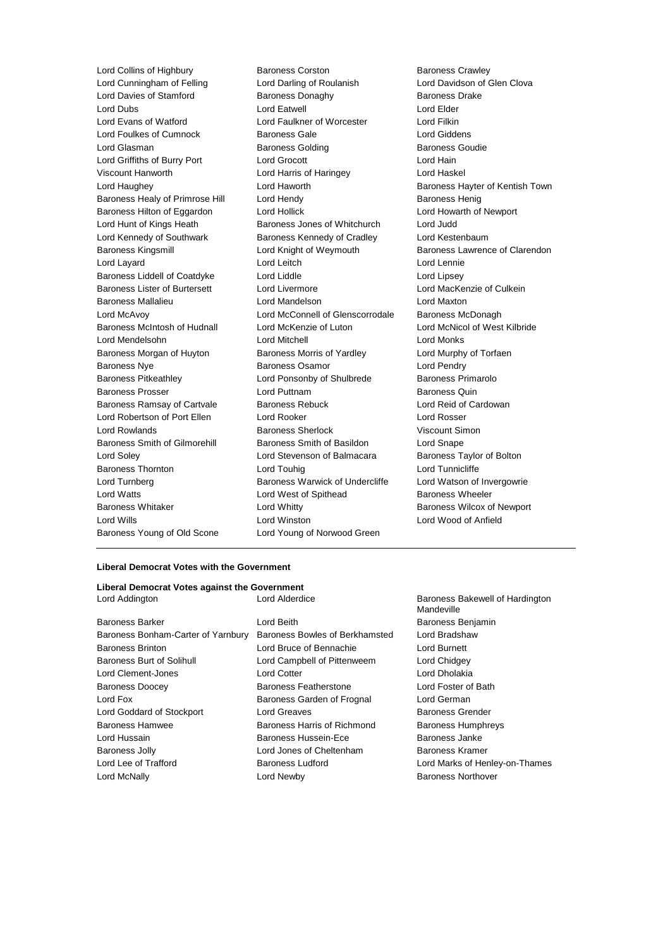Lord Collins of Highbury **Baroness Corston** Baroness Corston Baroness Crawley<br>
Lord Cunningham of Felling **Baroness Corston Baroness Corston Baroness Crawley** Lord Cunningham of Felling Lord Darling of Roulanish Lord Davies of Stamford **Baroness Donaghy** Baroness Dake Lord Dubs **Lord Eatwell** Lord Eatwell **Lord Elder** Lord Evans of Watford Lord Faulkner of Worcester Lord Filkin Lord Foulkes of Cumnock **Baroness Gale Baroness Gale** Lord Giddens Lord Glasman **Baroness Golding** Baroness Golding Baroness Goudie Lord Griffiths of Burry Port Lord Grocott Lord Hain Viscount Hanworth Lord Harris of Haringey Lord Haskel Lord Haughey **Lord Haworth Baroness Hayter of Kentish Town** Baroness Healy of Primrose Hill Lord Hendy **Baroness Henig** Baroness Henig Baroness Hilton of Eggardon Lord Hollick Lord Howarth of Newport Lord Hunt of Kings Heath Baroness Jones of Whitchurch Lord Judd Lord Kennedy of Southwark Baroness Kennedy of Cradley Lord Kestenbaum Baroness Kingsmill Lord Knight of Weymouth Baroness Lawrence of Clarendon Lord Layard Lord Leitch Lord Lennie Baroness Liddell of Coatdyke Lord Liddle Lord Linesey Baroness Lister of Burtersett Lord Livermore **Lord MacKenzie of Culkein** Baroness Mallalieu Lord Mandelson Lord Maxton Lord McAvoy Lord McConnell of Glenscorrodale Baroness McDonagh Baroness McIntosh of Hudnall Lord McKenzie of Luton Lord McNicol of West Kilbride Lord Mendelsohn Lord Mitchell Lord Monks Baroness Morgan of Huyton Baroness Morris of Yardley **Lord Murphy of Torfaen** Baroness Nye **Baroness Osamor** Corresponding Lord Pendry Baroness Pitkeathley Lord Ponsonby of Shulbrede Baroness Primarolo Baroness Prosser Lord Puttnam Baroness Quin Baroness Ramsay of Cartvale Baroness Rebuck Lord Reid of Cardowan Lord Robertson of Port Ellen Lord Rooker Lord Rosser Lord Rowlands Baroness Sherlock Viscount Simon Baroness Smith of Gilmorehill Baroness Smith of Basildon Lord Snape Lord Soley Lord Stevenson of Balmacara Baroness Taylor of Bolton Baroness Thornton **Lord Touhig Lord Touhig Lord Tunnicliffe** Lord Turnberg **Baroness Warwick of Undercliffe** Lord Watson of Invergowrie Lord Watts **Lord West of Spithead** Baroness Wheeler Baroness Whitaker **Lord Whitty Lord Whitty** Baroness Wilcox of Newport Lord Wills Lord Winston Lord Wood of Anfield Baroness Young of Old Scone Lord Young of Norwood Green

#### **Liberal Democrat Votes with the Government**

| Liberal Democrat Votes against the Government |                                |                                               |  |  |  |
|-----------------------------------------------|--------------------------------|-----------------------------------------------|--|--|--|
| Lord Addington                                | Lord Alderdice                 | Baroness Bakewell of Hardington<br>Mandeville |  |  |  |
| <b>Baroness Barker</b>                        | Lord Beith                     | <b>Baroness Benjamin</b>                      |  |  |  |
| Baroness Bonham-Carter of Yarnbury            | Baroness Bowles of Berkhamsted | Lord Bradshaw                                 |  |  |  |
| <b>Baroness Brinton</b>                       | Lord Bruce of Bennachie        | Lord Burnett                                  |  |  |  |
| Baroness Burt of Solihull                     | Lord Campbell of Pittenweem    | Lord Chidgey                                  |  |  |  |
| Lord Clement-Jones                            | Lord Cotter                    | Lord Dholakia                                 |  |  |  |
| <b>Baroness Doocey</b>                        | Baroness Featherstone          | Lord Foster of Bath                           |  |  |  |
| Lord Fox                                      | Baroness Garden of Frognal     | Lord German                                   |  |  |  |
| Lord Goddard of Stockport                     | Lord Greaves                   | Baroness Grender                              |  |  |  |
| Baroness Hamwee                               | Baroness Harris of Richmond    | <b>Baroness Humphreys</b>                     |  |  |  |
| Lord Hussain                                  | Baroness Hussein-Ece           | Baroness Janke                                |  |  |  |
| <b>Baroness Jolly</b>                         | Lord Jones of Cheltenham       | Baroness Kramer                               |  |  |  |
| Lord Lee of Trafford                          | Baroness Ludford               | Lord Marks of Henley-on-Thames                |  |  |  |
| Lord McNally                                  | Lord Newby                     | <b>Baroness Northover</b>                     |  |  |  |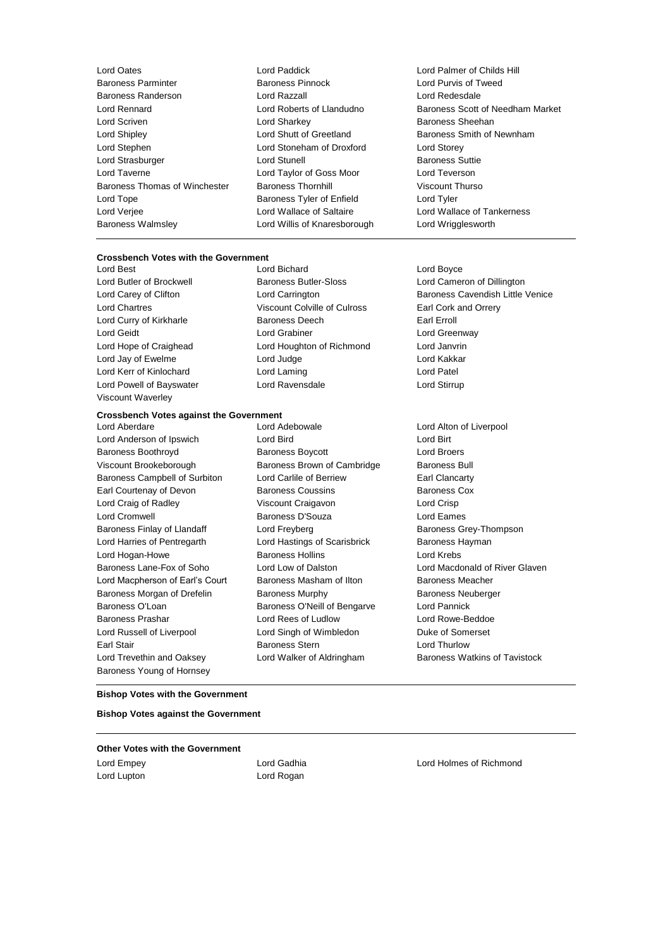Lord Oates Lord Paddick Lord Palmer of Childs Hill Baroness Randerson Lord Razzall Lord Redesdale Lord Scriven Lord Sharkey Baroness Sheehan Lord Shipley **Lord Shutt of Greetland** Baroness Smith of Newnham Lord Stephen Lord Stoneham of Droxford Lord Storey Lord Strasburger **Lord Stunell** Lord Stunell **Baroness** Suttie Lord Taverne Lord Taylor of Goss Moor Lord Teverson Baroness Thomas of Winchester Baroness Thornhill Viscount Thurso Lord Tope **Baroness Tyler of Enfield** Lord Tyler Lord Tyler Lord Verjee Lord Wallace of Saltaire Lord Wallace of Tankerness Baroness Walmsley Lord Willis of Knaresborough Lord Wrigglesworth

### **Crossbench Votes with the Government**

Lord Best Lord Bichard Lord Boyce Lord Chartres Viscount Colville of Culross Earl Cork and Orrery Lord Curry of Kirkharle **Earl Example 20** Baroness Deech **Earl Erroll** Lord Geidt Lord Grabiner Lord Greenway Lord Hope of Craighead Lord Houghton of Richmond Lord Janvrin Lord Jay of Ewelme **Lord Lord Judge Lord Lord Kakkar** Lord Kerr of Kinlochard **Lord Laming** Lord Laming Lord Patel Lord Powell of Bayswater Lord Ravensdale Lord Stirrup Viscount Waverley

### **Crossbench Votes against the Government**

Lord Anderson of Ipswich Lord Bird Lord Birt Baroness Boothroyd Baroness Boycott Lord Broers Viscount Brookeborough Baroness Brown of Cambridge Baroness Bull Baroness Campbell of Surbiton Lord Carlile of Berriew Earl Clancarty Earl Courtenay of Devon Baroness Coussins Baroness Cox Lord Craig of Radley Viscount Craigavon Lord Crisp Lord Cromwell Baroness D'Souza Lord Eames Baroness Finlay of Llandaff **Lord Freyberg Lord Freyberg** Baroness Grey-Thompson Lord Harries of Pentregarth **Lord Hastings of Scarisbrick** Baroness Hayman Lord Hogan-Howe Baroness Hollins Lord Krebs Baroness Lane-Fox of Soho Lord Low of Dalston Lord Macdonald of River Glaven Lord Macpherson of Earl's Court Baroness Masham of Ilton Baroness Meacher Baroness Morgan of Drefelin Baroness Murphy Baroness Neuberger Baroness O'Loan **Baroness O'Neill of Bengarve** Lord Pannick Baroness Prashar Lord Rees of Ludlow Lord Rowe-Beddoe Lord Russell of Liverpool Lord Singh of Wimbledon Duke of Somerset Earl Stair **Baroness Stern Earl Stair Lord Thurlow Baroness Stern Lord Thurlow** Lord Trevethin and Oaksey Lord Walker of Aldringham Baroness Watkins of Tavistock Baroness Young of Hornsey

Lord Aberdare Lord Adebowale Lord Alton of Liverpool

Lord Purvis of Tweed Lord Rennard Lord Roberts of Llandudno Baroness Scott of Needham Market

Lord Butler of Brockwell Baroness Butler-Sloss Lord Cameron of Dillington Lord Carey of Clifton **Lord Carrington** Lord Carrington Baroness Cavendish Little Venice

#### **Bishop Votes with the Government**

**Bishop Votes against the Government**

**Other Votes with the Government**

Lord Empey Lord Gadhia Lord Holmes of Richmond Lord Lupton **Lord Rogan**